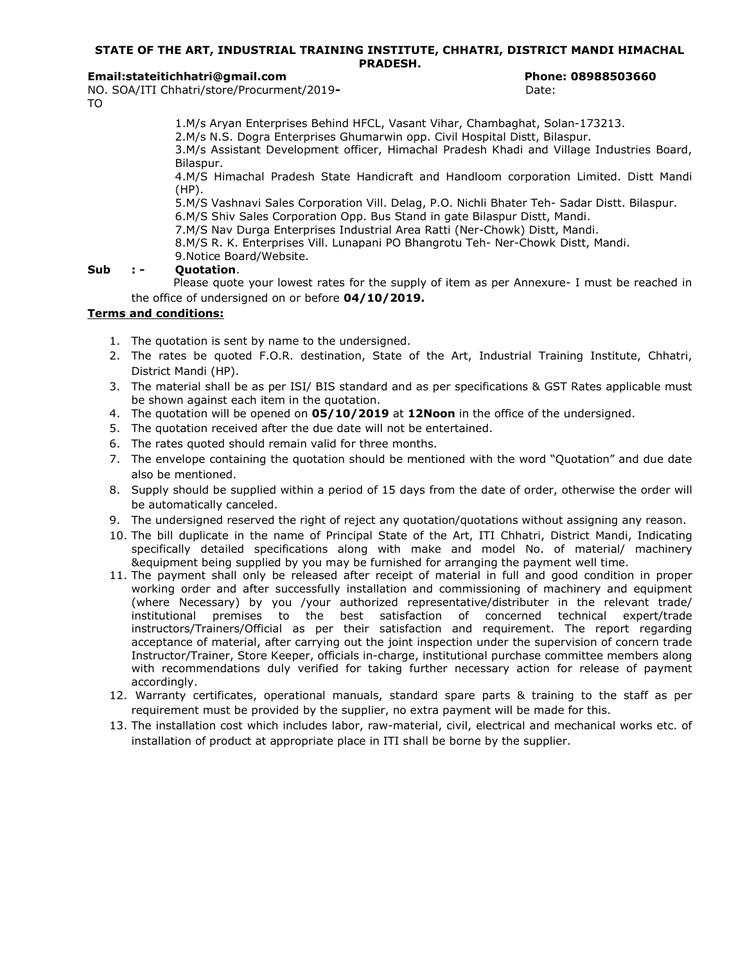### STATE OF THE ART, INDUSTRIAL TRAINING INSTITUTE, CHHATRI, DISTRICT MANDI HIMACHAL PRADESH.

### Email:stateitichhatri@gmail.com Phone: 08988503660

NO. SOA/ITI Chhatri/store/Procurment/2019-<br>
Date: TO

1.M/s Aryan Enterprises Behind HFCL, Vasant Vihar, Chambaghat, Solan-173213.

2.M/s N.S. Dogra Enterprises Ghumarwin opp. Civil Hospital Distt, Bilaspur.

3.M/s Assistant Development officer, Himachal Pradesh Khadi and Village Industries Board, Bilaspur.

4.M/S Himachal Pradesh State Handicraft and Handloom corporation Limited. Distt Mandi (HP).

5.M/S Vashnavi Sales Corporation Vill. Delag, P.O. Nichli Bhater Teh- Sadar Distt. Bilaspur.

6.M/S Shiv Sales Corporation Opp. Bus Stand in gate Bilaspur Distt, Mandi.

7.M/S Nav Durga Enterprises Industrial Area Ratti (Ner-Chowk) Distt, Mandi.

8.M/S R. K. Enterprises Vill. Lunapani PO Bhangrotu Teh- Ner-Chowk Distt, Mandi.

9.Notice Board/Website.

# Sub :- Ouotation.

 Please quote your lowest rates for the supply of item as per Annexure- I must be reached in the office of undersigned on or before 04/10/2019.

# Terms and conditions:

- 1. The quotation is sent by name to the undersigned.
- 2. The rates be quoted F.O.R. destination, State of the Art, Industrial Training Institute, Chhatri, District Mandi (HP).
- 3. The material shall be as per ISI/ BIS standard and as per specifications & GST Rates applicable must be shown against each item in the quotation.
- 4. The quotation will be opened on 05/10/2019 at 12Noon in the office of the undersigned.
- 5. The quotation received after the due date will not be entertained.
- 6. The rates quoted should remain valid for three months.
- 7. The envelope containing the quotation should be mentioned with the word "Quotation" and due date also be mentioned.
- 8. Supply should be supplied within a period of 15 days from the date of order, otherwise the order will be automatically canceled.
- 9. The undersigned reserved the right of reject any quotation/quotations without assigning any reason.
- 10. The bill duplicate in the name of Principal State of the Art, ITI Chhatri, District Mandi, Indicating specifically detailed specifications along with make and model No. of material/ machinery &equipment being supplied by you may be furnished for arranging the payment well time.
- 11. The payment shall only be released after receipt of material in full and good condition in proper working order and after successfully installation and commissioning of machinery and equipment (where Necessary) by you /your authorized representative/distributer in the relevant trade/ institutional premises to the best satisfaction of concerned technical expert/trade instructors/Trainers/Official as per their satisfaction and requirement. The report regarding acceptance of material, after carrying out the joint inspection under the supervision of concern trade Instructor/Trainer, Store Keeper, officials in-charge, institutional purchase committee members along with recommendations duly verified for taking further necessary action for release of payment accordingly.
- 12. Warranty certificates, operational manuals, standard spare parts & training to the staff as per requirement must be provided by the supplier, no extra payment will be made for this.
- 13. The installation cost which includes labor, raw-material, civil, electrical and mechanical works etc. of installation of product at appropriate place in ITI shall be borne by the supplier.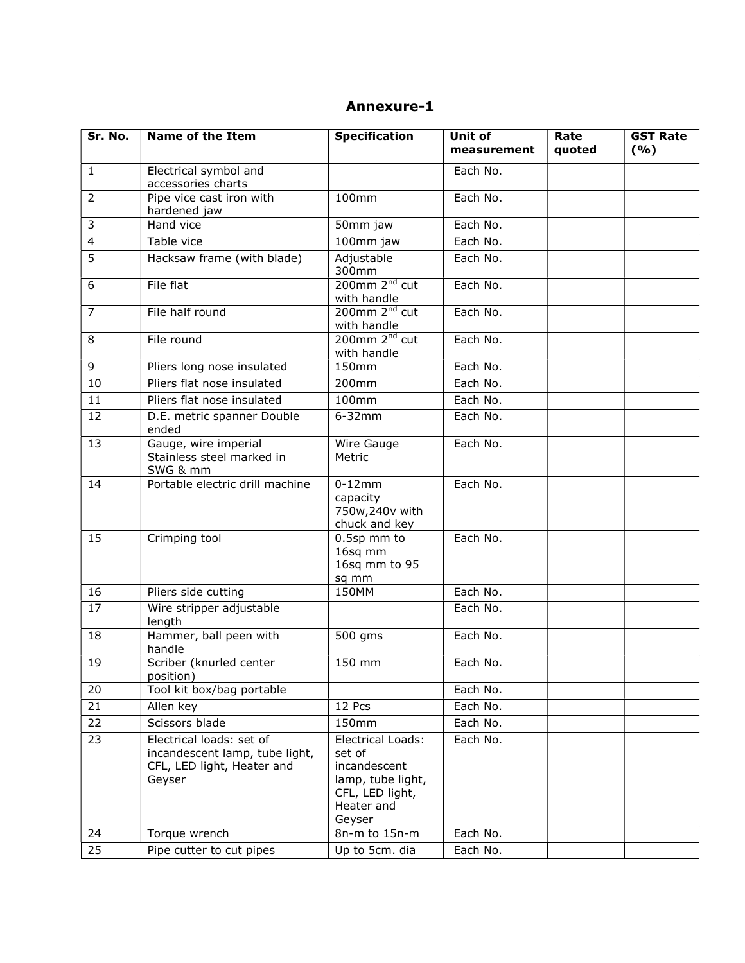| Annexure-1 |
|------------|
|------------|

| Sr. No.        | <b>Name of the Item</b>                                                                            | <b>Specification</b>                                                                                        | Unit of<br>measurement | Rate<br>quoted | <b>GST Rate</b><br>(9/6) |
|----------------|----------------------------------------------------------------------------------------------------|-------------------------------------------------------------------------------------------------------------|------------------------|----------------|--------------------------|
| $\mathbf{1}$   | Electrical symbol and<br>accessories charts                                                        |                                                                                                             | Each No.               |                |                          |
| $\overline{2}$ | Pipe vice cast iron with<br>hardened jaw                                                           | 100mm                                                                                                       | Each No.               |                |                          |
| 3              | Hand vice                                                                                          | 50mm jaw                                                                                                    | Each No.               |                |                          |
| $\overline{4}$ | Table vice                                                                                         | 100mm jaw                                                                                                   | Each No.               |                |                          |
| 5              | Hacksaw frame (with blade)                                                                         | Adjustable<br>300mm                                                                                         | Each No.               |                |                          |
| 6              | File flat                                                                                          | 200mm 2 <sup>nd</sup> cut<br>with handle                                                                    | Each No.               |                |                          |
| $\overline{7}$ | File half round                                                                                    | 200mm 2 <sup>nd</sup> cut<br>with handle                                                                    | Each No.               |                |                          |
| 8              | File round                                                                                         | $200$ mm $2nd$ cut<br>with handle                                                                           | Each No.               |                |                          |
| 9              | Pliers long nose insulated                                                                         | 150mm                                                                                                       | Each No.               |                |                          |
| 10             | Pliers flat nose insulated                                                                         | 200mm                                                                                                       | Each No.               |                |                          |
| 11             | Pliers flat nose insulated                                                                         | 100mm                                                                                                       | Each No.               |                |                          |
| 12             | D.E. metric spanner Double<br>ended                                                                | $6-32mm$                                                                                                    | Each No.               |                |                          |
| 13             | Gauge, wire imperial<br>Stainless steel marked in<br>SWG & mm                                      | Wire Gauge<br>Metric                                                                                        | Each No.               |                |                          |
| 14             | Portable electric drill machine                                                                    | $0-12mm$<br>capacity<br>750w,240v with<br>chuck and key                                                     | Each No.               |                |                          |
| 15             | Crimping tool                                                                                      | 0.5sp mm to<br>16sq mm<br>16sq mm to 95<br>sq mm                                                            | Each No.               |                |                          |
| 16             | Pliers side cutting                                                                                | 150MM                                                                                                       | Each No.               |                |                          |
| 17             | Wire stripper adjustable<br>length                                                                 |                                                                                                             | Each No.               |                |                          |
| 18             | Hammer, ball peen with<br>handle                                                                   | 500 gms                                                                                                     | Each No.               |                |                          |
| 19             | Scriber (knurled center<br>position)                                                               | 150 mm                                                                                                      | Each No.               |                |                          |
| 20             | Tool kit box/bag portable                                                                          |                                                                                                             | Each No.               |                |                          |
| 21             | Allen key                                                                                          | 12 Pcs                                                                                                      | Each No.               |                |                          |
| 22             | Scissors blade                                                                                     | 150mm                                                                                                       | Each No.               |                |                          |
| 23             | Electrical loads: set of<br>incandescent lamp, tube light,<br>CFL, LED light, Heater and<br>Geyser | Electrical Loads:<br>set of<br>incandescent<br>lamp, tube light,<br>CFL, LED light,<br>Heater and<br>Geyser | Each No.               |                |                          |
| 24             | Torque wrench                                                                                      | 8n-m to 15n-m                                                                                               | Each No.               |                |                          |
| 25             | Pipe cutter to cut pipes                                                                           | Up to 5cm. dia                                                                                              | Each No.               |                |                          |